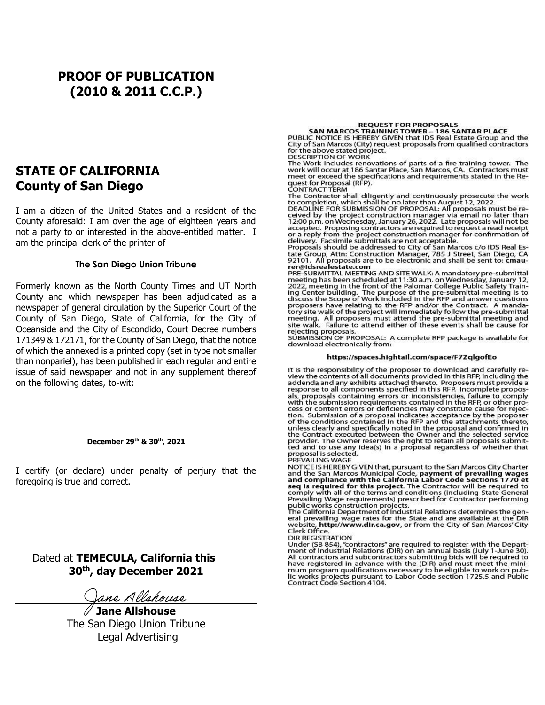## **PROOF OF PUBLICATION (2010 & 2011 C.C.P.)**

### **STATE OF CALIFORNIA County of San Diego**

I am a citizen of the United States and a resident of the County aforesaid: I am over the age of eighteen years and not a party to or interested in the above-entitled matter. I am the principal clerk of the printer of

#### **The San Diego Union Tribune**

Formerly known as the North County Times and UT North County and which newspaper has been adjudicated as a newspaper of general circulation by the Superior Court of the County of San Diego, State of California, for the City of Oceanside and the City of Escondido, Court Decree numbers 171349 & 172171, for the County of San Diego, that the notice of which the annexed is a printed copy (set in type not smaller than nonpariel), has been published in each regular and entire issue of said newspaper and not in any supplement thereof on the following dates, to-wit:

#### **December 29th & 30th , 2021**

I certify (or declare) under penalty of perjury that the foregoing is true and correct.

 Dated at **TEMECULA, California this 30th , day December 2021**

Jane Allshouse

**Jane Allshouse**  The San Diego Union Tribune Legal Advertising

#### **REQUEST FOR PROPOSALS**

SAN MARCOS TRAINING TOWER - 186 SANTAR PLACE<br>PUBLIC NOTICE IS HEREBY GIVEN that IDS Real Estate Group and the<br>City of San Marcos (City) request proposals from qualified contractors for the above stated project. DESCRIPTION OF WORK

The Work includes renovations of parts of a fire training tower. The<br>work will occur at 186 Santar Place, San Marcos, CA. Contractors must<br>meet or exceed the specifications and requirements stated in the Request for Proposal (RFP).

CONTRACT TERM

The Contractor shall diligently and continuously prosecute the work<br>to completion, which shall be no later than August 12, 2022.<br>DEADLINE FOR SUBMISSION OF PROPOSAL: All proposals must be re-Ceived by the project construction manager via email no later than<br>12:00 p.m. on Wednesday, January 26, 2022. Late proposals will not be<br>12:00 p.m. on Wednesday, January 26, 2022. Late proposals will not be<br>accepted. Propo delivery. Facsimile submittals are not acceptable.<br>Proposals should be addressed to City of San Marcos c/o IDS Real Es-

The Group, Attn: Construction Manager, 785 J Street, San Diego, CA<br>192101. All proposals are to be electronic and shall be sent to: cmaurer@idsrealestate.com

PRE-SUBMITTAL MEETING AND SITE WALK: A mandatory pre-submittal<br>meeting has been scheduled at 11:30 a.m. on Wednesday, January 12, 2022, meeting in the front of the Palomar College Public Safety Training Center building. The purpose of the pre-submittal meeting is to<br>discuss the Scope of Work included in the RFP and answer questions proposers have relating to the RFP and/or the Contract. A mandatory site walk of the project will immediately follow the pre-submittal<br>meeting. All proposers must attend the pre-submittal meeting and<br>site walk. Failure to attend either of these events shall be cause for

she walk. Failure to attend entier of these events shall be cause for<br>rejecting proposals.<br>SUBMISSION OF PROPOSAL: A complete RFP package is available for download electronically from:

#### https://spaces.hightail.com/space/F7ZqlgofEo

It is the responsibility of the proposer to download and carefully re-It is the contents of all documents provided in this RFP, including the<br>addenda and any exhibits attached thereto. Proposers must provide a<br>response to all components specified in this RFP. Incomplete proposis, proposals containing errors or inconsistencies, failure to comply<br>with the submission requirements contained in the RFP, or other process or content errors or deficiencies may constitute cause for rejection. Submission of a proposal indicates acceptance by the proposer<br>of the conditions contained in the RFP and the attachments thereto, or the contract executed between the United States and confirmed in<br>the Contract executed between the Owner and the selected service the Contract executed between the other hand the selected served and to use any idea(s) in a proposal regardless of whether that<br>proposal is selected.<br>PREVAILING WAGE

NOTICE IS HEREBY GIVEN that, pursuant to the San Marcos City Charter<br>and the San Marcos Municipal Code, **payment of prevailing wages**<br>and compliance with the California Labor Code Sections 1770 et and compliance with the California Labor Code Sections 1770 et<br>seq is required for this project. The Contractor will be required to<br>comply with all of the terms and conditions (including State General<br>Prevailing Wage requi

eral prevailing wage rates for the State and are available at the DIR<br>website, http://www.dir.ca.gov, or from the City of San Marcos' City Clerk Office.

**DIR REGISTRATION** 

Under (SB 854), "contractors" are required to register with the Depart-<br>ment of Industrial Relations (DIR) on an annual basis (July 1-June 30).<br>All contractors and subcontractors submitting bids will be required to All contractors and subcontractors submitting bids will be required to<br>have registered in advance with the (DIR) and must meet the mini-<br>mum program qualifications necessary to be eligible to work on pub-<br>lic works project